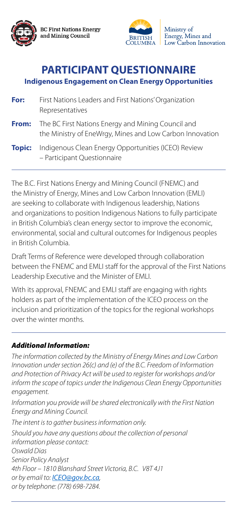

**BC First Nations Energy** and Mining Council



Ministry of Energy, Mines and Low Carbon Innovation

# **PARTICIPANT QUESTIONNAIRE Indigenous Engagement on Clean Energy Opportunities**

- **For:** First Nations Leaders and First Nations' Organization Representatives
- **From:** The BC First Nations Energy and Mining Council and the Ministry of EneWrgy, Mines and Low Carbon Innovation
- **Topic:** Indigenous Clean Energy Opportunities (ICEO) Review – Participant Questionnaire

### The B.C. First Nations Energy and Mining Council (FNEMC) and

the Ministry of Energy, Mines and Low Carbon Innovation (EMLI) are seeking to collaborate with Indigenous leadership, Nations and organizations to position Indigenous Nations to fully participate in British Columbia's clean energy sector to improve the economic, environmental, social and cultural outcomes for Indigenous peoples in British Columbia.

*Information you provide will be shared electronically with the First Nation Energy and Mining Council.* 

Draft Terms of Reference were developed through collaboration between the FNEMC and EMLI staff for the approval of the First Nations Leadership Executive and the Minister of EMLI.

With its approval, FNEMC and EMLI staff are engaging with rights holders as part of the implementation of the ICEO process on the inclusion and prioritization of the topics for the regional workshops over the winter months.

### *Additional Information:*

*The information collected by the Ministry of Energy Mines and Low Carbon Innovation under section 26(c) and (e) of the B.C. Freedom of Information*  and Protection of Privacy Act will be used to register for workshops and/or *inform the scope of topics under the Indigenous Clean Energy Opportunities engagement.* 

*The intent is to gather business information only.* 

*Should you have any questions about the collection of personal information please contact:*

*Oswald Dias*

*Senior Policy Analyst*

*4th Floor – 1810 Blanshard Street Victoria, B.C. V8T 4J1* 

*or by email to: ICEO@gov.bc.ca,* 

*or by telephone: (778) 698-7284.*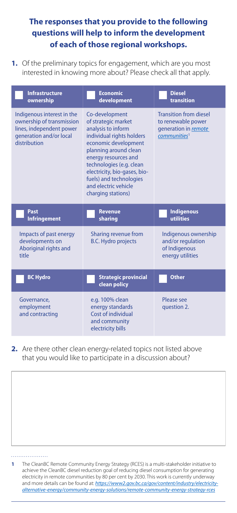## **The responses that you provide to the following questions will help to inform the development of each of those regional workshops.**

**1.** Of the preliminary topics for engagement, which are you most interested in knowing more about? Please check all that apply.

| <b>Infrastructure</b><br>ownership                                                                                             | <b>Economic</b><br>development                                                                                                                                                                                                                                                                         | <b>Diesel</b><br>transition                                                                             |
|--------------------------------------------------------------------------------------------------------------------------------|--------------------------------------------------------------------------------------------------------------------------------------------------------------------------------------------------------------------------------------------------------------------------------------------------------|---------------------------------------------------------------------------------------------------------|
| Indigenous interest in the<br>ownership of transmission<br>lines, independent power<br>generation and/or local<br>distribution | Co-development<br>of strategic market<br>analysis to inform<br>individual rights holders<br>economic development<br>planning around clean<br>energy resources and<br>technologies (e.g. clean<br>electricity, bio-gases, bio-<br>fuels) and technologies<br>and electric vehicle<br>charging stations) | <b>Transition from diesel</b><br>to renewable power<br>generation in remote<br>communities <sup>1</sup> |
| <b>Past</b><br><b>Infringement</b>                                                                                             | <b>Revenue</b><br>sharing                                                                                                                                                                                                                                                                              | Indigenous<br>utilities                                                                                 |
|                                                                                                                                |                                                                                                                                                                                                                                                                                                        |                                                                                                         |
| Impacts of past energy<br>developments on<br>Aboriginal rights and<br>title                                                    | <b>Sharing revenue from</b><br><b>B.C. Hydro projects</b>                                                                                                                                                                                                                                              | Indigenous ownership<br>and/or regulation<br>of Indigenous<br>energy utilities                          |
| <b>BC Hydro</b>                                                                                                                | <b>Strategic provincial</b><br><b>clean policy</b>                                                                                                                                                                                                                                                     | <b>Other</b>                                                                                            |

**2.** Are there other clean energy-related topics not listed above that you would like to participate in a discussion about?

 $\mathcal{L}_\mathcal{L} = \mathcal{L}_\mathcal{L} + \mathcal{L}_\mathcal{L} + \mathcal{L}_\mathcal{L} + \mathcal{L}_\mathcal{L} + \mathcal{L}_\mathcal{L} + \mathcal{L}_\mathcal{L} + \mathcal{L}_\mathcal{L} + \mathcal{L}_\mathcal{L} + \mathcal{L}_\mathcal{L} + \mathcal{L}_\mathcal{L} + \mathcal{L}_\mathcal{L} + \mathcal{L}_\mathcal{L} + \mathcal{L}_\mathcal{L} + \mathcal{L}_\mathcal{L} + \mathcal{L}_\mathcal{L} + \mathcal{L}_\mathcal{L}$ 

\_\_\_\_\_\_\_\_\_\_\_\_\_\_\_\_\_\_\_\_\_\_\_\_\_\_\_\_\_\_\_\_\_\_\_\_\_\_\_\_\_\_\_\_\_\_\_\_\_\_\_\_\_\_\_\_\_\_\_\_\_

\_\_\_\_\_\_\_\_\_\_\_\_\_\_\_\_\_\_\_\_\_\_\_\_\_\_\_\_\_\_\_\_\_\_\_\_\_\_\_\_\_\_\_\_\_\_\_\_\_\_\_\_\_\_\_\_\_\_\_\_\_

**1** The CleanBC Remote Community Energy Strategy (RCES) is a multi-stakeholder initiative to achieve the CleanBC diesel reduction goal of reducing diesel consumption for generating electricity in remote communities by 80 per cent by 2030. This work is currently underway and more details can be found at: **https://www2.gov.bc.ca/gov/content/industry/electricity***alternative-energy/community-energy-solutions/remote-community-energy-strategy-rces*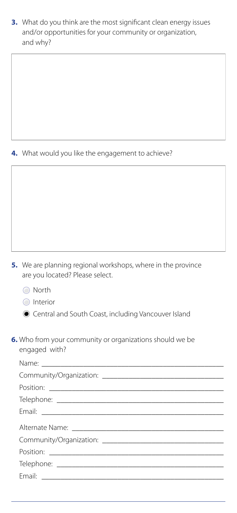**3.** What do you think are the most significant clean energy issues and/or opportunities for your community or organization, and why?



 $\mathcal{L}_\mathcal{L} = \mathcal{L}_\mathcal{L} = \mathcal{L}_\mathcal{L} = \mathcal{L}_\mathcal{L} = \mathcal{L}_\mathcal{L} = \mathcal{L}_\mathcal{L} = \mathcal{L}_\mathcal{L} = \mathcal{L}_\mathcal{L} = \mathcal{L}_\mathcal{L} = \mathcal{L}_\mathcal{L} = \mathcal{L}_\mathcal{L} = \mathcal{L}_\mathcal{L} = \mathcal{L}_\mathcal{L} = \mathcal{L}_\mathcal{L} = \mathcal{L}_\mathcal{L} = \mathcal{L}_\mathcal{L} = \mathcal{L}_\mathcal{L}$ 

#### **4.** What would you like the engagement to achieve?

- **5.** We are planning regional workshops, where in the province are you located? Please select.
	- North

**Interior** 

 $\odot$  Central and South Coast, including Vancouver Island

**6.** Who from your community or organizations should we be engaged with?

Name: \_\_\_\_\_\_\_\_\_\_\_\_\_\_\_\_\_\_\_\_\_\_\_\_\_\_\_\_\_\_\_\_\_\_\_\_\_\_\_\_\_\_\_\_\_\_\_\_

Community/Organization:

| Position: |
|-----------|
|           |
| Email:    |
|           |
|           |
| Position: |
|           |
|           |